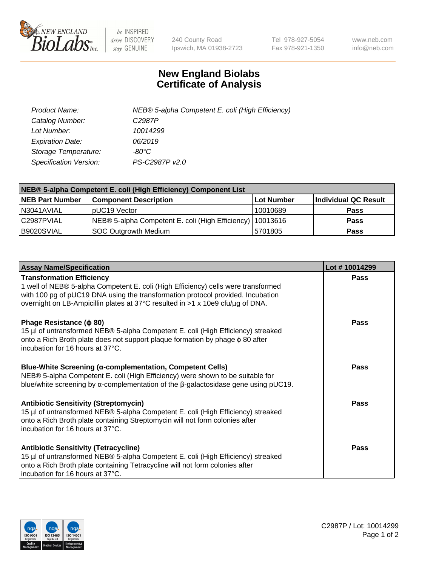

 $be$  INSPIRED drive DISCOVERY stay GENUINE

240 County Road Ipswich, MA 01938-2723 Tel 978-927-5054 Fax 978-921-1350 www.neb.com info@neb.com

## **New England Biolabs Certificate of Analysis**

| Product Name:                 | NEB® 5-alpha Competent E. coli (High Efficiency) |
|-------------------------------|--------------------------------------------------|
| Catalog Number:               | C <sub>2987</sub> P                              |
| Lot Number:                   | 10014299                                         |
| <b>Expiration Date:</b>       | 06/2019                                          |
| Storage Temperature:          | -80°C                                            |
| <b>Specification Version:</b> | PS-C2987P v2.0                                   |

| NEB® 5-alpha Competent E. coli (High Efficiency) Component List |                                                             |            |                      |  |
|-----------------------------------------------------------------|-------------------------------------------------------------|------------|----------------------|--|
| <b>NEB Part Number</b>                                          | <b>Component Description</b>                                | Lot Number | Individual QC Result |  |
| N3041AVIAL                                                      | pUC19 Vector                                                | 10010689   | <b>Pass</b>          |  |
| C2987PVIAL                                                      | NEB® 5-alpha Competent E. coli (High Efficiency)   10013616 |            | <b>Pass</b>          |  |
| B9020SVIAL                                                      | SOC Outgrowth Medium                                        | 5701805    | <b>Pass</b>          |  |

| <b>Assay Name/Specification</b>                                                                                                                                                                                                                                                            | Lot #10014299 |
|--------------------------------------------------------------------------------------------------------------------------------------------------------------------------------------------------------------------------------------------------------------------------------------------|---------------|
| <b>Transformation Efficiency</b><br>1 well of NEB® 5-alpha Competent E. coli (High Efficiency) cells were transformed<br>with 100 pg of pUC19 DNA using the transformation protocol provided. Incubation<br>overnight on LB-Ampicillin plates at 37°C resulted in >1 x 10e9 cfu/µg of DNA. | <b>Pass</b>   |
| Phage Resistance ( $\phi$ 80)<br>15 µl of untransformed NEB® 5-alpha Competent E. coli (High Efficiency) streaked<br>onto a Rich Broth plate does not support plaque formation by phage $\phi$ 80 after<br>incubation for 16 hours at 37°C.                                                | Pass          |
| <b>Blue-White Screening (α-complementation, Competent Cells)</b><br>NEB® 5-alpha Competent E. coli (High Efficiency) were shown to be suitable for<br>blue/white screening by $\alpha$ -complementation of the $\beta$ -galactosidase gene using pUC19.                                    | Pass          |
| <b>Antibiotic Sensitivity (Streptomycin)</b><br>15 µl of untransformed NEB® 5-alpha Competent E. coli (High Efficiency) streaked<br>onto a Rich Broth plate containing Streptomycin will not form colonies after<br>incubation for 16 hours at 37°C.                                       | Pass          |
| <b>Antibiotic Sensitivity (Tetracycline)</b><br>15 µl of untransformed NEB® 5-alpha Competent E. coli (High Efficiency) streaked<br>onto a Rich Broth plate containing Tetracycline will not form colonies after<br>incubation for 16 hours at 37°C.                                       | Pass          |